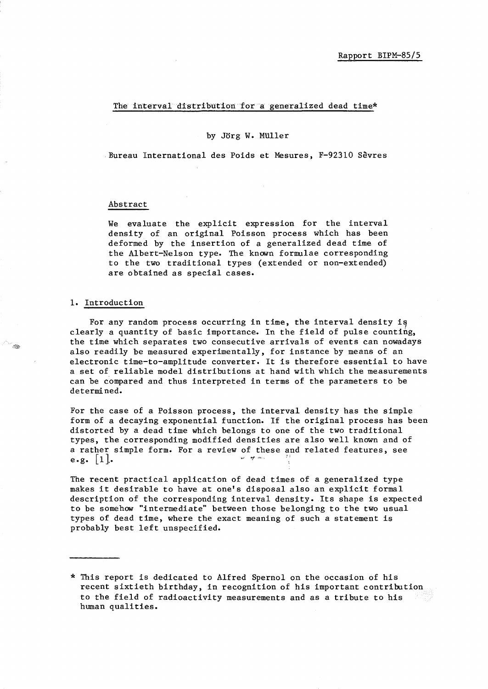### The interval distribution for a generalized dead time\*

### by Jorg W. MUller

Bureau International des Poids et Mesures, F-92310 Sevres

#### Abstract

We evaluate the explicit expression for the interval density of an original Poisson process which has been deformed by the insertion of a generalized dead time of the Albert-Nelson type. The known formulae corresponding to the two traditional types (extended or non-extended) are obtained as special cases.

#### 1. Introduction

 $\lll$ 

For any random process occurring in time, the interval density is clearly a quantity of basic importance. In the field of pulse counting, the time which separates two consecutive arrivals of events can nowadays also readily be measured experimentally, for instance by means of an electronic time-to-amplitude converter. It is therefore essential to have a set of reliable model distributions at hand with which the measurements can be compared and thus interpreted in terms of the parameters to be determi ned.

For the case of a Poisson process, the interval density has the simple form of a decaying exponential function. If the original process has been distorted by a dead time which belongs to one of the two traditional types, the corresponding modified densities are also well known and of a rather simple form. For a review of these and related features, see e.g.  $|1|$ .

The recent practical application of dead times of a generalized type makes it desirable to have at one's disposal also an explicit formal description of the corresponding interval density. Its shape is expected to be somehow "intermediate" between those belonging to the two usual types of dead time, where the exact meaning of such a statement is probably best left unspecified.

<sup>\*</sup> This report is dedicated to Alfred Spernol on the occasion of his recent sixtieth birthday, in recognition of his important contribution to the field of radioactivity measurements and as a tribute to his human qualities.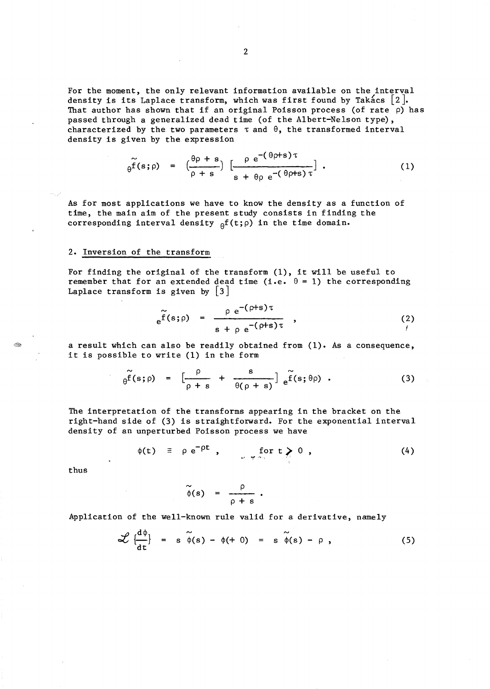For the moment, the only relevant information available on the interval density is its Laplace transform, which was first found by Takacs  $[2]$ . That author has shown that if an original Poisson process (of rate  $\rho$ ) has passed through a generalized dead time (of the Albert-Nelson type), characterized by the two parameters  $\tau$  and  $\theta$ , the transformed interval density is given by the expression

$$
\widetilde{\theta^{f}}(s;\rho) = \left(\frac{\theta\rho + s}{\rho + s}\right) \left[\frac{\rho e^{-(\theta\rho + s)\tau}}{s + \theta\rho e^{-(\theta\rho + s)\tau}}\right].
$$
 (1)

As for most applications we have to know the density as a function of time, the main aim of the present study consists in finding the corresponding interval density  ${}_{\theta}f(t;\rho)$  in the time domain.

## 2. Inversion of the transform

For finding the original of the transform (1), it will be useful to remember that for an extended dead time (i.e.  $\theta = 1$ ) the corresponding Laplace transform is given by  $|3|$ 

$$
e^{\widetilde{f}(s;\rho)} = \frac{\rho e^{-(\rho+s)\tau}}{s + \rho e^{-(\rho+s)\tau}}, \qquad (2)
$$

a result which can also be readily obtained from (1). As a consequence, it is possible to write (1) in the form

$$
\widetilde{\theta^{f}}(s;\rho) = \left[\frac{\rho}{\rho+s} + \frac{s}{\theta(\rho+s)}\right] \widetilde{f}(s;\theta\rho) . \qquad (3)
$$

The interpretation of the transforms appearing in the bracket on the right-hand side of (3) is straightforward. For the exponential interval density of an unperturbed Poisson process we have

$$
\phi(t) \equiv \rho e^{-\rho t} , \qquad \text{for } t \geq 0 , \qquad (4)
$$

thus

$$
\widetilde{\phi}(s) = \frac{\rho}{\rho + s}.
$$

Application of the well-known rule valid for a derivative, namely

$$
\mathscr{L}\left\{\frac{d\phi}{dt}\right\} = s\widetilde{\phi}(s) - \phi(+0) = s\widetilde{\phi}(s) - \rho, \qquad (5)
$$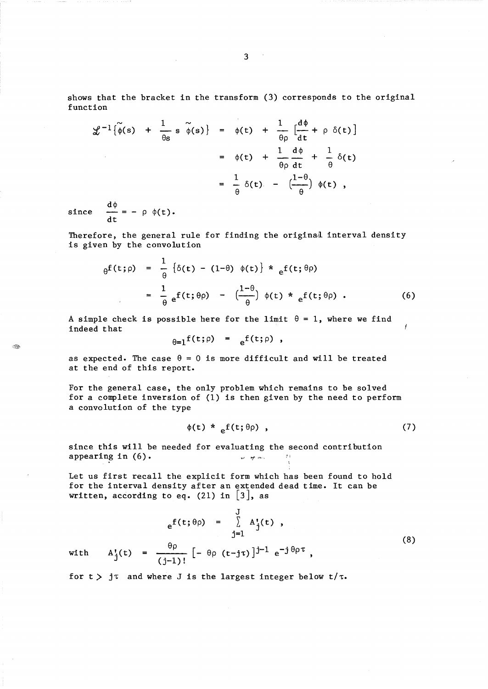shows that the bracket in the transform (3) corresponds to the original function

$$
\mathcal{L}^{-1}\{\widetilde{\phi}(s) + \frac{1}{\theta s} s \widetilde{\phi}(s)\} = \phi(t) + \frac{1}{\theta \rho} \left[\frac{d\phi}{dt} + \rho \delta(t)\right]
$$

$$
= \phi(t) + \frac{1}{\theta \rho} \frac{d\phi}{dt} + \frac{1}{\theta} \delta(t)
$$

$$
= \frac{1}{\theta} \delta(t) - \left(\frac{1-\theta}{\theta}\right) \phi(t),
$$

since  $\frac{d\mathbf{t}}{dt}$  = -  $\rho \phi(\mathbf{t}).$ 

Ñ

Therefore, the general rule for finding the original interval density is given by the convolution

$$
\theta^{f}(t;\rho) = \frac{1}{\theta} \left\{ \delta(t) - (1-\theta) \phi(t) \right\} * \frac{1}{e^{f(t;\theta\rho)}} \n= \frac{1}{\theta} e^{f(t;\theta\rho)} - \left( \frac{1-\theta}{\theta} \right) \phi(t) * \frac{1}{e^{f(t;\theta\rho)}}.
$$
\n(6)

A simple check is possible here for the limit  $\theta = 1$ , where we find indeed that

 $\theta=1$ f(t;  $\rho$ ) =  $\theta$ f(t;  $\rho$ ),

as expected. The case  $\theta = 0$  is more difficult and will be treated at the end of this report.

For the general case, the only problem which remains to be solved for a complete inversion of (1) is then given by the need to perform a convolution of the type

$$
\phi(t) *_{e} f(t; \theta \rho) , \qquad (7)
$$

since this will be needed for evaluating the second contribution appearing in  $(6)$ .  $\sqrt{7}$   $\sqrt{7}$   $\sqrt{7}$   $\sqrt{7}$ 

Let us first recall the explicit form which has been found to hold for the interval density after an extended dead time. It can be written, according to eq. (21) in  $|3|$ , as

$$
e^{f(t;\theta\rho)} = \sum_{j=1}^{J} A_{j}^{t}(t) ,
$$
\nwith  $A_{j}^{t}(t) = \frac{\theta\rho}{(j-1)!} [-\theta\rho (t-j\tau)]^{j-1} e^{-j\theta\rho\tau} ,$ \n
$$
(8)
$$

for  $t$   $>$  j $\tau$  and where J is the largest integer below  $t/\tau$ .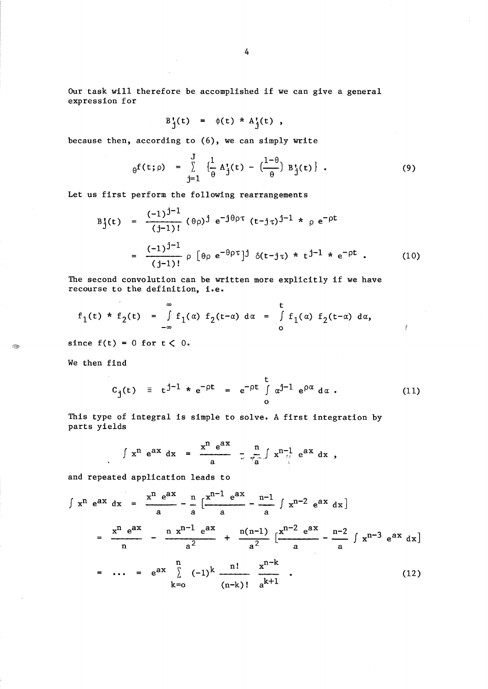Our task will therefore be accomplished if we can give a general expression for

$$
B_j'(t) = \phi(t) * A_j'(t) ,
$$

because then, according to (6), we can simply write

$$
\theta^{f(t;\rho)} = \sum_{j=1}^{J} \left\{ \frac{1}{\theta} A_{j}^{t}(t) - \left( \frac{1-\theta}{\theta} \right) B_{j}^{t}(t) \right\} .
$$
 (9)

Let us first perform the following rearrangements

$$
B_{j}^{t}(t) = \frac{(-1)^{j-1}}{(j-1)!} (\theta \rho)^{j} e^{-j\theta \rho \tau} (t-j\tau)^{j-1} * \rho e^{-\rho t}
$$
  

$$
= \frac{(-1)^{j-1}}{(j-1)!} \rho [\theta \rho e^{-\theta \rho \tau}]^{j} \delta(t-j\tau) * t^{j-1} * e^{-\rho t}. \qquad (10)
$$

The second convolution can be written more explicitly if we have recourse to the definition, i.e.

$$
f_1(t) * f_2(t) = \int_{-\infty}^{\infty} f_1(\alpha) f_2(t-\alpha) d\alpha = \int_{0}^{t} f_1(\alpha) f_2(t-\alpha) d\alpha,
$$

since  $f(t) = 0$  for  $t < 0$ .

We then find

 $\hat{\textbf{z}}$ 

 $\mathcal{A}_{\mathcal{D}}^{(0)}$ 

$$
C_{j}(t) \equiv t^{j-1} * e^{-\rho t} = e^{-\rho t} \int_{0}^{t} \alpha^{j-1} e^{\rho \alpha} d\alpha . \qquad (11)
$$

Ť

This type of integral is simple to solve. A first integration by parts yields

$$
\int x^{n} e^{ax} dx = \frac{x^{n} e^{ax}}{a} - \frac{n}{e^{ax}} \int x^{n-1} e^{ax} dx
$$
,

and repeated application leads to

$$
\int x^{n} e^{ax} dx = \frac{x^{n} e^{ax}}{a} - \frac{n}{a} \left[ \frac{x^{n-1} e^{ax}}{a} - \frac{n-1}{a} \int x^{n-2} e^{ax} dx \right]
$$

$$
= \frac{x^{n} e^{ax}}{n} - \frac{n}{a^{2}} x^{n-1} e^{ax} + \frac{n(n-1)}{a^{2}} \left[ \frac{x^{n-2} e^{ax}}{a} - \frac{n-2}{a} \int x^{n-3} e^{ax} dx \right]
$$

$$
= \dots = e^{ax} \sum_{k=0}^{n} (-1)^{k} \frac{n!}{(n-k)!} \frac{x^{n-k}}{a^{k+1}}.
$$
(12)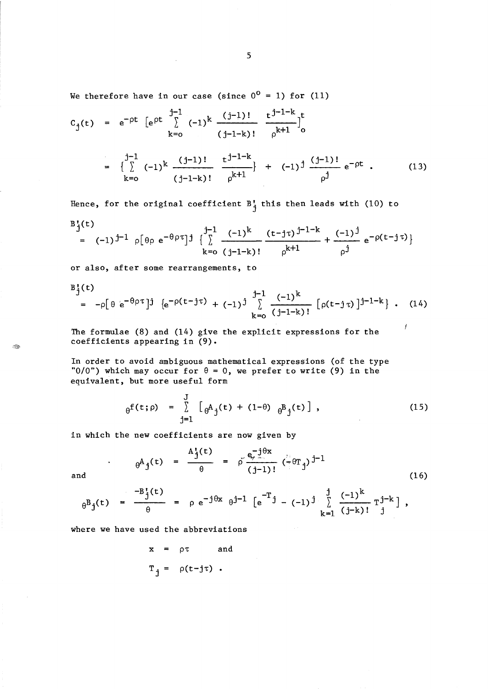We therefore have in our case (since  $0^0 = 1$ ) for (11)

 $\sim$ 

$$
c_{j}(t) = e^{-\rho t} \left[ e^{\rho t} \sum_{k=0}^{j-1} (-1)^{k} \frac{(j-1)!}{(j-1-k)!} \frac{t^{j-1-k}}{\rho^{k+1}} \right]_{0}^{t}
$$
  

$$
= \left\{ \sum_{k=0}^{j-1} (-1)^{k} \frac{(j-1)!}{(j-1-k)!} \frac{t^{j-1-k}}{\rho^{k+1}} \right\} + (-1)^{j} \frac{(j-1)!}{\rho^{j}} e^{-\rho t} . \qquad (13)
$$

Hence, for the original coefficient  $B_i^{\dagger}$  this then leads with (10) to

$$
B_{j}^{(t)}(t) = (-1)^{j-1} \rho[\theta \rho e^{-\theta \rho \tau}]^{j} \left\{ \sum_{k=0}^{j-1} \frac{(-1)^{k}}{(j-1-k)!} \frac{(t-j\tau)^{j-1-k}}{\rho^{k+1}} + \frac{(-1)^{j}}{\rho^{j}} e^{-\rho(t-j\tau)} \right\}
$$

or also, after some rearrangements, to

$$
B_{j}^{t}(t) = -\rho [\theta e^{-\theta \rho \tau}]^{j} \{e^{-\rho (t-j\tau)} + (-1)^{j} \sum_{k=0}^{j-1} \frac{(-1)^{k}}{(j-1-k)!} [\rho (t-j\tau)]^{j-1-k} \} . \quad (14)
$$

The formulae (8) and (14) give the explicit expressions for the coefficients appearing in (9).

In order to avoid ambiguous mathematical expressions (of the type "0/0") which may occur for  $\theta = 0$ , we prefer to write (9) in the equivalent, but more useful form

$$
\theta^{f(t;\rho)} = \sum_{j=1}^{J} [\theta^{A}{}_{j}(t) + (1-\theta) \theta^{B}{}_{j}(t)], \qquad (15)
$$

Ĭ

in which the new coefficients are now given by

$$
\Theta A_j(t) = \frac{A_j^t(t)}{\theta} = \rho^t \frac{e_j^t \hat{\theta}^x}{(j-1)!} \left( \frac{e_j}{\theta} \hat{\theta}^t j \right)^{j-1}
$$
 (16)

ÎB

$$
_{\theta}^{B}j^{(t)} = \frac{-B_{j}^{t}(t)}{\theta} = \rho e^{-j\theta x} \theta^{j-1} \left[ e^{-T}j - (-1)^{j} \sum_{k=1}^{j} \frac{(-1)^{k}}{(j-k)!} T_{j}^{j-k} \right],
$$

where we have used the abbreviations

$$
x = \rho \tau \quad \text{and} \\ T_{j} = \rho(t - j\tau) .
$$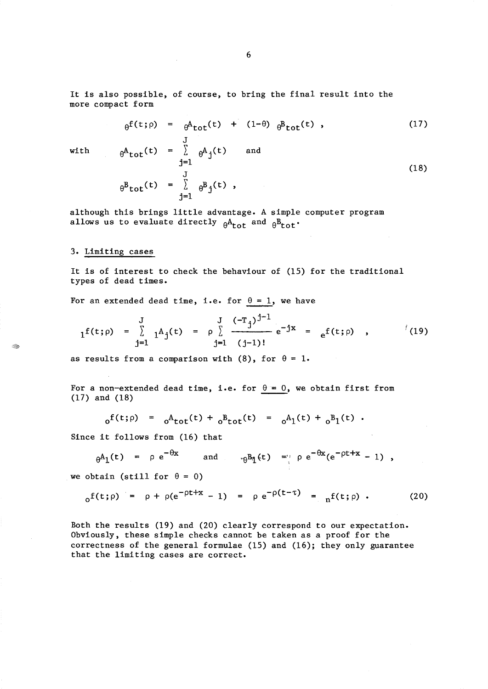It is also possible, of course, to bring the final result into the more compact form

$$
\theta^{f(t;\rho)} = \theta^{A} t_0 t^{(t)} + (1-\theta) \theta^{B} t_0 t^{(t)},
$$
\n
$$
\theta^{A} t_0 t^{(t)} = \sum_{j=1}^{J} \theta^{A} j^{(t)} \quad \text{and}
$$
\n
$$
\theta^{B} t_0 t^{(t)} = \sum_{j=1}^{J} \theta^{B} j^{(t)},
$$
\n(18)

with

 $\ll r$ 

although this brings little advantage. A simple computer program allows us to evaluate directly  $\theta_{\text{tot}}^A$  and  $\theta_{\text{tot}}^B$ .

# 3. Limiting cases

It is of interest to check the behaviour of (15) for the traditional types of dead times.

For an extended dead time, i.e. for  $\theta = 1$ , we have

j=l

$$
1^{f(t;\rho)} = \sum_{j=1}^{J} 1^{A}j^{(t)} = \rho \sum_{j=1}^{J} \frac{(-T_{j})^{j-1}}{(j-1)!} e^{-jx} = e^{f(t;\rho)}, \qquad (19)
$$

as results from a comparison with (8), for  $\theta = 1$ .

For a non-extended dead time, i.e. for  $\theta = 0$ , we obtain first from (17) and (18)

$$
_{0}^{f(t;\rho)} = {}_{0}^{A}f_{tot}(t) + {}_{0}^{B}f_{tot}(t) = {}_{0}^{A}f(t) + {}_{0}^{B}f(t)
$$
.

Since it follows from (16) that

$$
\theta^{\mathbf{A}_1(t)} = \rho e^{-\theta x} \quad \text{and} \quad \theta^{\mathbf{B}_1(t)} = \rho e^{-\theta x} (e^{-\rho t + x} - 1) ,
$$

we obtain (still for  $\theta = 0$ )

$$
_{0}f(t;\rho) = \rho + \rho(e^{-\rho t + x} - 1) = \rho e^{-\rho(t-\tau)} = {}_{n}f(t;\rho)
$$
 (20)

Both the results (19) and (20) clearly correspond to our expectation. Obviously, these simple checks cannot be taken as a proof for the correctness of the general formulae (15) and (16); they only guarantee that the limiting cases are correct.